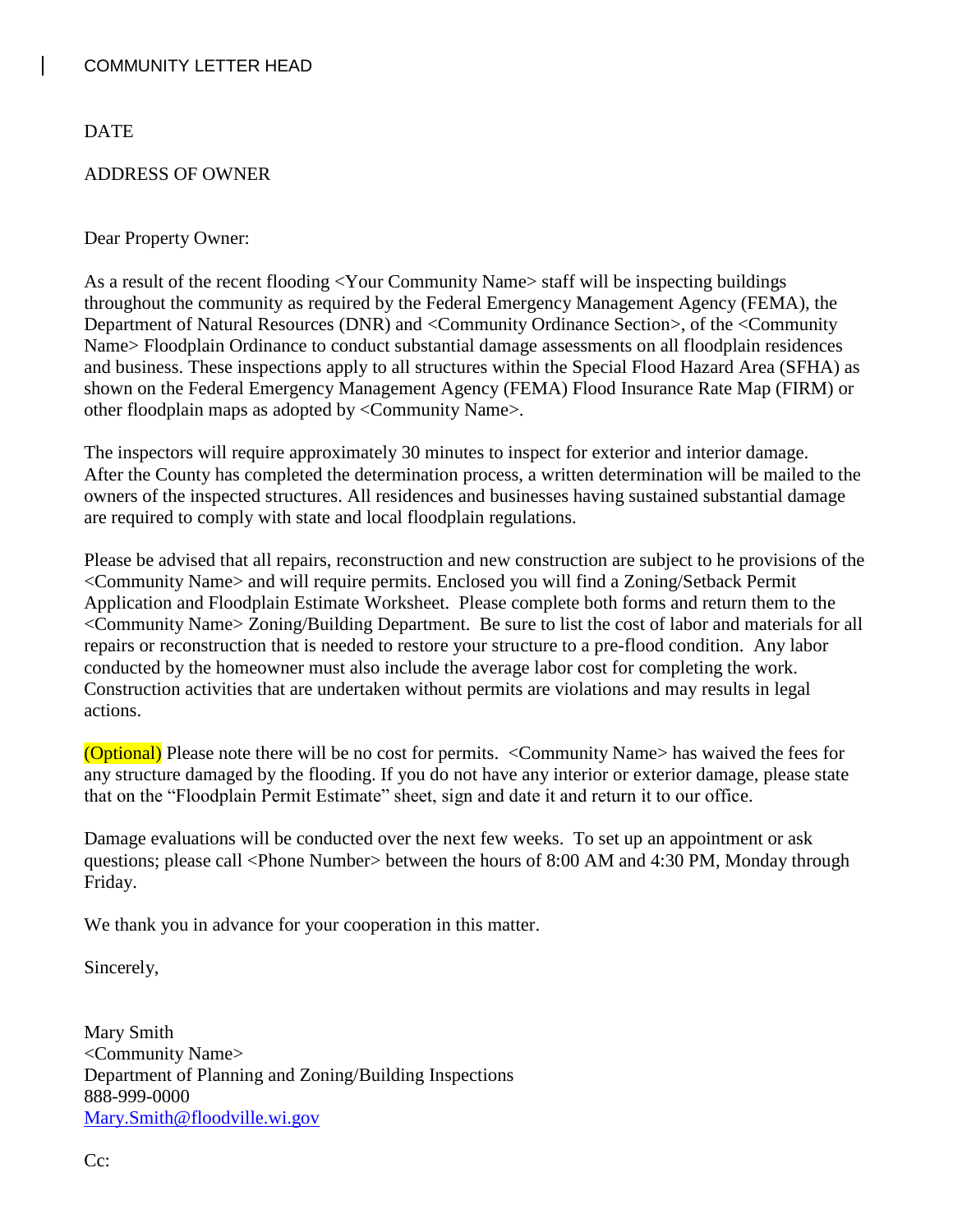DATE

#### ADDRESS OF OWNER

#### Dear Property Owner:

As a result of the recent flooding <Your Community Name> staff will be inspecting buildings throughout the community as required by the Federal Emergency Management Agency (FEMA), the Department of Natural Resources (DNR) and <Community Ordinance Section>, of the <Community Name> Floodplain Ordinance to conduct substantial damage assessments on all floodplain residences and business. These inspections apply to all structures within the Special Flood Hazard Area (SFHA) as shown on the Federal Emergency Management Agency (FEMA) Flood Insurance Rate Map (FIRM) or other floodplain maps as adopted by <Community Name>.

The inspectors will require approximately 30 minutes to inspect for exterior and interior damage. After the County has completed the determination process, a written determination will be mailed to the owners of the inspected structures. All residences and businesses having sustained substantial damage are required to comply with state and local floodplain regulations.

Please be advised that all repairs, reconstruction and new construction are subject to he provisions of the <Community Name> and will require permits. Enclosed you will find a Zoning/Setback Permit Application and Floodplain Estimate Worksheet. Please complete both forms and return them to the <Community Name> Zoning/Building Department. Be sure to list the cost of labor and materials for all repairs or reconstruction that is needed to restore your structure to a pre-flood condition. Any labor conducted by the homeowner must also include the average labor cost for completing the work. Construction activities that are undertaken without permits are violations and may results in legal actions.

(Optional) Please note there will be no cost for permits. <Community Name> has waived the fees for any structure damaged by the flooding. If you do not have any interior or exterior damage, please state that on the "Floodplain Permit Estimate" sheet, sign and date it and return it to our office.

Damage evaluations will be conducted over the next few weeks. To set up an appointment or ask questions; please call <Phone Number> between the hours of 8:00 AM and 4:30 PM, Monday through Friday.

We thank you in advance for your cooperation in this matter.

Sincerely,

Mary Smith <Community Name> Department of Planning and Zoning/Building Inspections 888-999-0000 [Mary.Smith@floodville.wi.gov](mailto:Mary.Smith@floodville.wi.gov)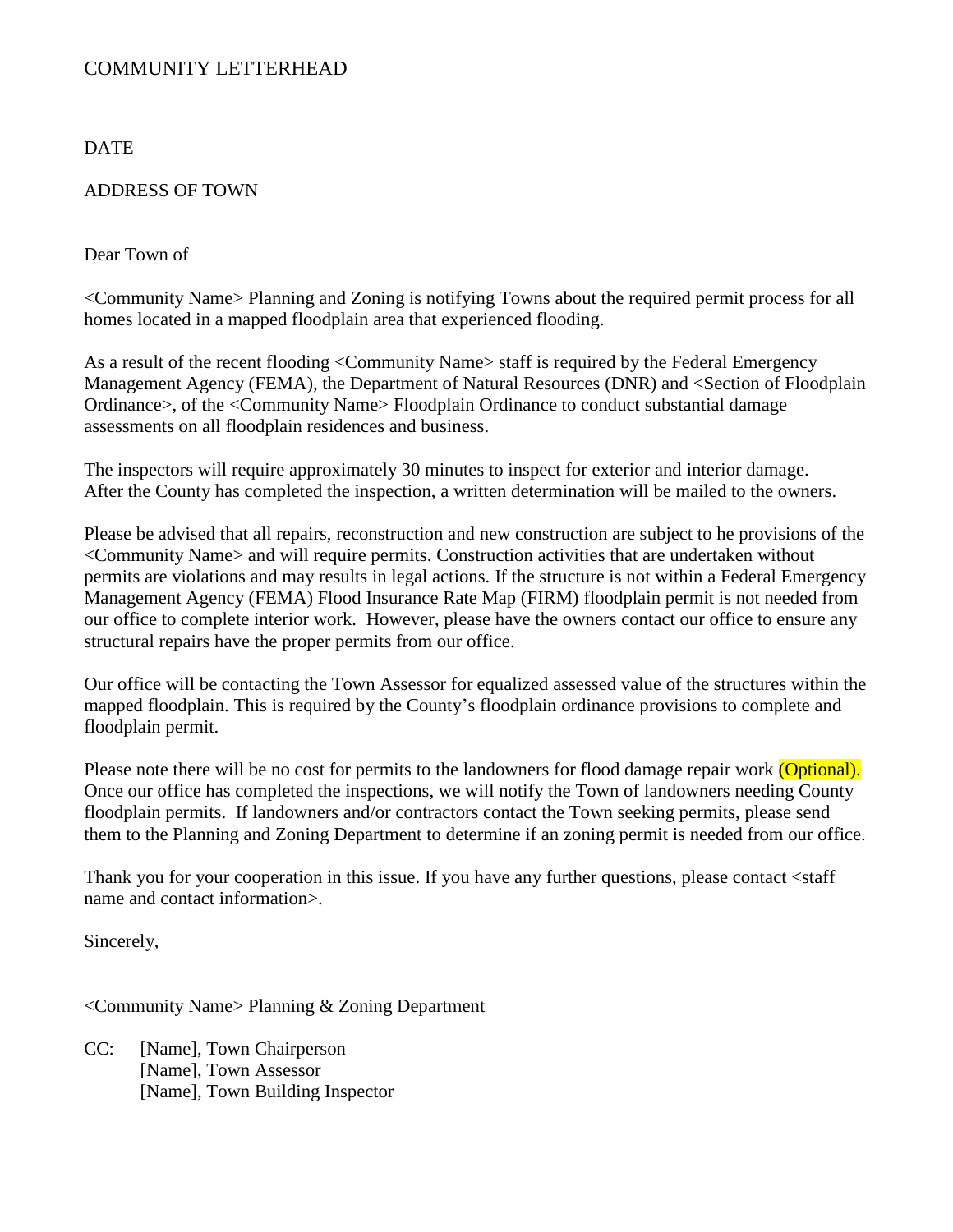#### DATE

#### ADDRESS OF TOWN

Dear Town of

<Community Name> Planning and Zoning is notifying Towns about the required permit process for all homes located in a mapped floodplain area that experienced flooding.

As a result of the recent flooding <Community Name> staff is required by the Federal Emergency Management Agency (FEMA), the Department of Natural Resources (DNR) and <Section of Floodplain Ordinance>, of the <Community Name> Floodplain Ordinance to conduct substantial damage assessments on all floodplain residences and business.

The inspectors will require approximately 30 minutes to inspect for exterior and interior damage. After the County has completed the inspection, a written determination will be mailed to the owners.

Please be advised that all repairs, reconstruction and new construction are subject to he provisions of the <Community Name> and will require permits. Construction activities that are undertaken without permits are violations and may results in legal actions. If the structure is not within a Federal Emergency Management Agency (FEMA) Flood Insurance Rate Map (FIRM) floodplain permit is not needed from our office to complete interior work. However, please have the owners contact our office to ensure any structural repairs have the proper permits from our office.

Our office will be contacting the Town Assessor for equalized assessed value of the structures within the mapped floodplain. This is required by the County's floodplain ordinance provisions to complete and floodplain permit.

Please note there will be no cost for permits to the landowners for flood damage repair work (Optional). Once our office has completed the inspections, we will notify the Town of landowners needing County floodplain permits. If landowners and/or contractors contact the Town seeking permits, please send them to the Planning and Zoning Department to determine if an zoning permit is needed from our office.

Thank you for your cooperation in this issue. If you have any further questions, please contact <staff name and contact information>.

Sincerely,

<Community Name> Planning & Zoning Department

CC: [Name], Town Chairperson [Name], Town Assessor [Name], Town Building Inspector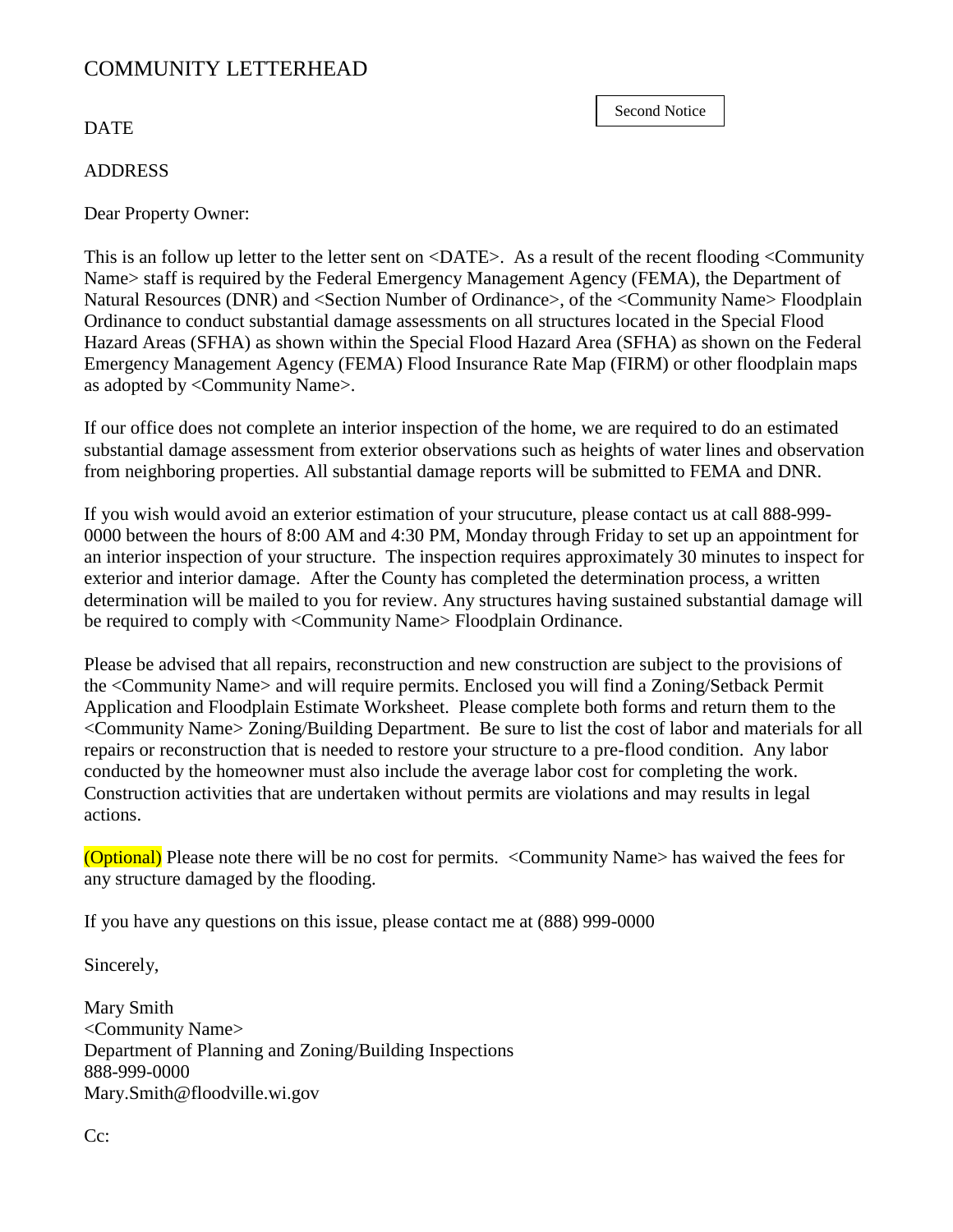#### **DATE**

#### ADDRESS

Dear Property Owner:

This is an follow up letter to the letter sent on <DATE>. As a result of the recent flooding <Community Name> staff is required by the Federal Emergency Management Agency (FEMA), the Department of Natural Resources (DNR) and <Section Number of Ordinance>, of the <Community Name> Floodplain Ordinance to conduct substantial damage assessments on all structures located in the Special Flood Hazard Areas (SFHA) as shown within the Special Flood Hazard Area (SFHA) as shown on the Federal Emergency Management Agency (FEMA) Flood Insurance Rate Map (FIRM) or other floodplain maps as adopted by <Community Name>.

If our office does not complete an interior inspection of the home, we are required to do an estimated substantial damage assessment from exterior observations such as heights of water lines and observation from neighboring properties. All substantial damage reports will be submitted to FEMA and DNR.

If you wish would avoid an exterior estimation of your strucuture, please contact us at call 888-999- 0000 between the hours of 8:00 AM and 4:30 PM, Monday through Friday to set up an appointment for an interior inspection of your structure. The inspection requires approximately 30 minutes to inspect for exterior and interior damage. After the County has completed the determination process, a written determination will be mailed to you for review. Any structures having sustained substantial damage will be required to comply with <Community Name> Floodplain Ordinance.

Please be advised that all repairs, reconstruction and new construction are subject to the provisions of the <Community Name> and will require permits. Enclosed you will find a Zoning/Setback Permit Application and Floodplain Estimate Worksheet. Please complete both forms and return them to the <Community Name> Zoning/Building Department. Be sure to list the cost of labor and materials for all repairs or reconstruction that is needed to restore your structure to a pre-flood condition. Any labor conducted by the homeowner must also include the average labor cost for completing the work. Construction activities that are undertaken without permits are violations and may results in legal actions.

(Optional) Please note there will be no cost for permits. <Community Name> has waived the fees for any structure damaged by the flooding.

If you have any questions on this issue, please contact me at (888) 999-0000

Sincerely,

Mary Smith <Community Name> Department of Planning and Zoning/Building Inspections 888-999-0000 Mary.Smith@floodville.wi.gov

Second Notice

Cc: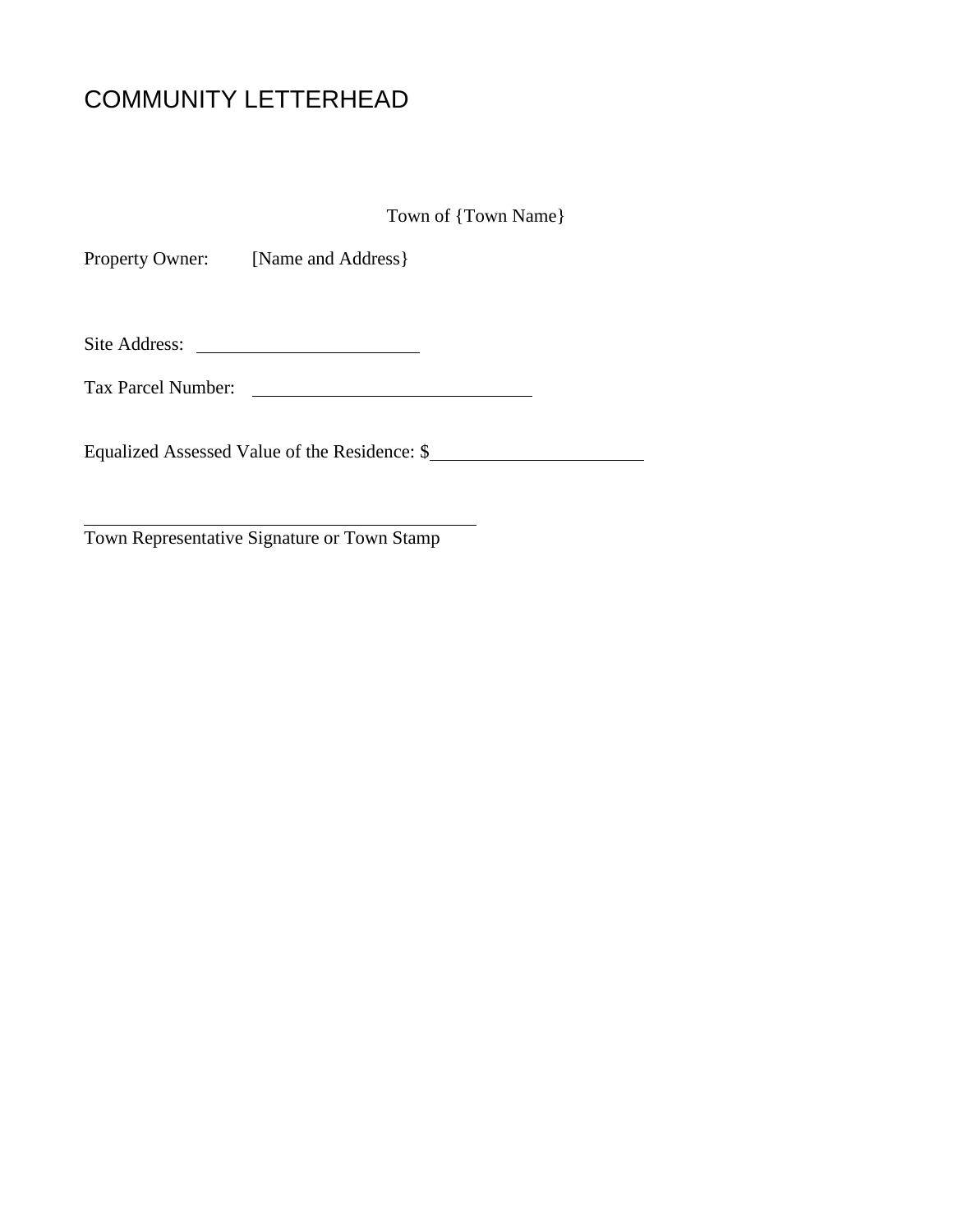Town of {Town Name}

Property Owner: [Name and Address]

Site Address:

Tax Parcel Number:

Equalized Assessed Value of the Residence: \$

Town Representative Signature or Town Stamp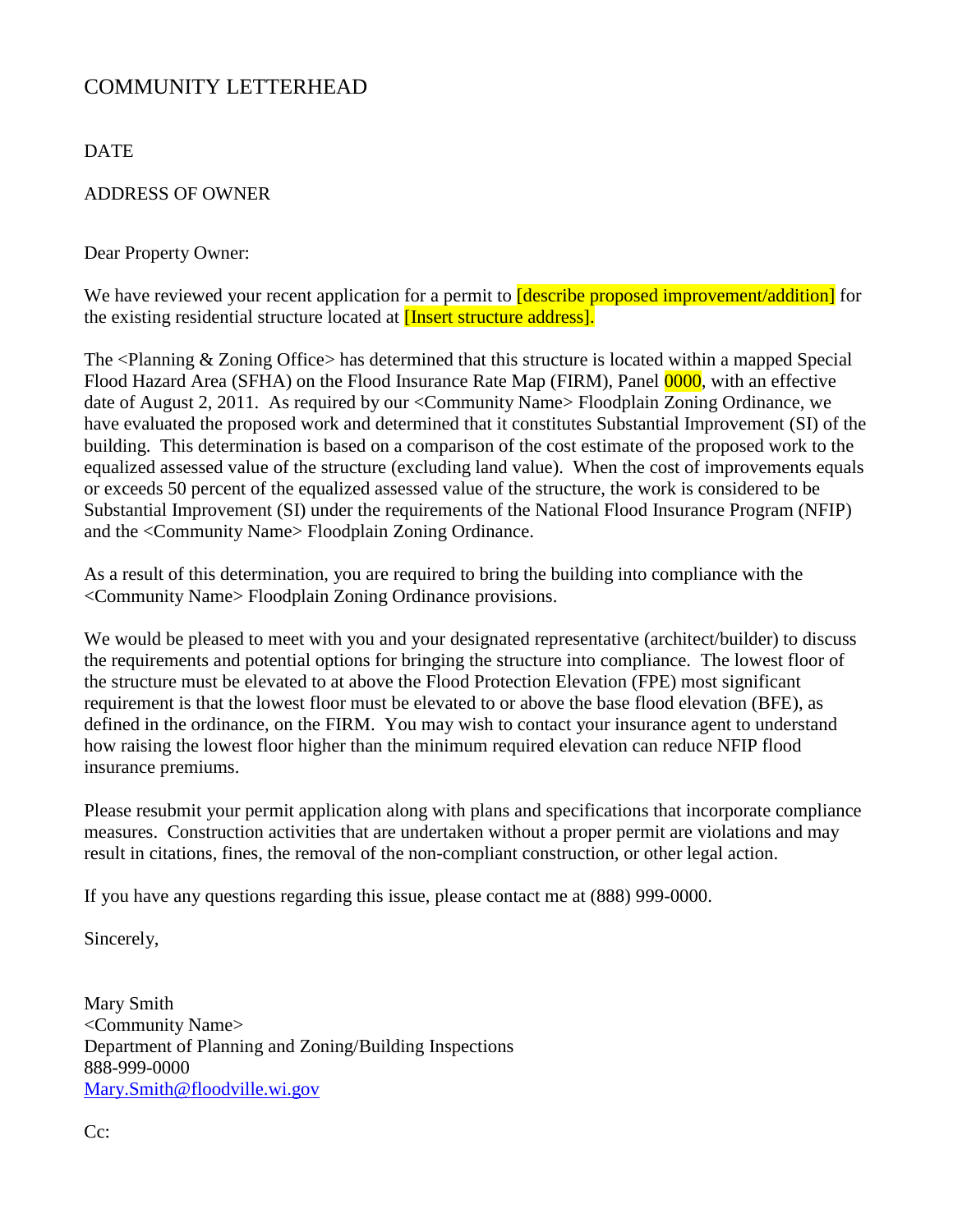DATE

#### ADDRESS OF OWNER

Dear Property Owner:

We have reviewed your recent application for a permit to **[describe proposed improvement/addition]** for the existing residential structure located at [Insert structure address].

The <Planning & Zoning Office> has determined that this structure is located within a mapped Special Flood Hazard Area (SFHA) on the Flood Insurance Rate Map (FIRM), Panel 0000, with an effective date of August 2, 2011. As required by our <Community Name> Floodplain Zoning Ordinance, we have evaluated the proposed work and determined that it constitutes Substantial Improvement (SI) of the building. This determination is based on a comparison of the cost estimate of the proposed work to the equalized assessed value of the structure (excluding land value). When the cost of improvements equals or exceeds 50 percent of the equalized assessed value of the structure, the work is considered to be Substantial Improvement (SI) under the requirements of the National Flood Insurance Program (NFIP) and the <Community Name> Floodplain Zoning Ordinance.

As a result of this determination, you are required to bring the building into compliance with the <Community Name> Floodplain Zoning Ordinance provisions.

We would be pleased to meet with you and your designated representative (architect/builder) to discuss the requirements and potential options for bringing the structure into compliance. The lowest floor of the structure must be elevated to at above the Flood Protection Elevation (FPE) most significant requirement is that the lowest floor must be elevated to or above the base flood elevation (BFE), as defined in the ordinance, on the FIRM. You may wish to contact your insurance agent to understand how raising the lowest floor higher than the minimum required elevation can reduce NFIP flood insurance premiums.

Please resubmit your permit application along with plans and specifications that incorporate compliance measures. Construction activities that are undertaken without a proper permit are violations and may result in citations, fines, the removal of the non-compliant construction, or other legal action.

If you have any questions regarding this issue, please contact me at (888) 999-0000.

Sincerely,

Mary Smith <Community Name> Department of Planning and Zoning/Building Inspections 888-999-0000 [Mary.Smith@floodville.wi.gov](mailto:Mary.Smith@floodville.wi.gov)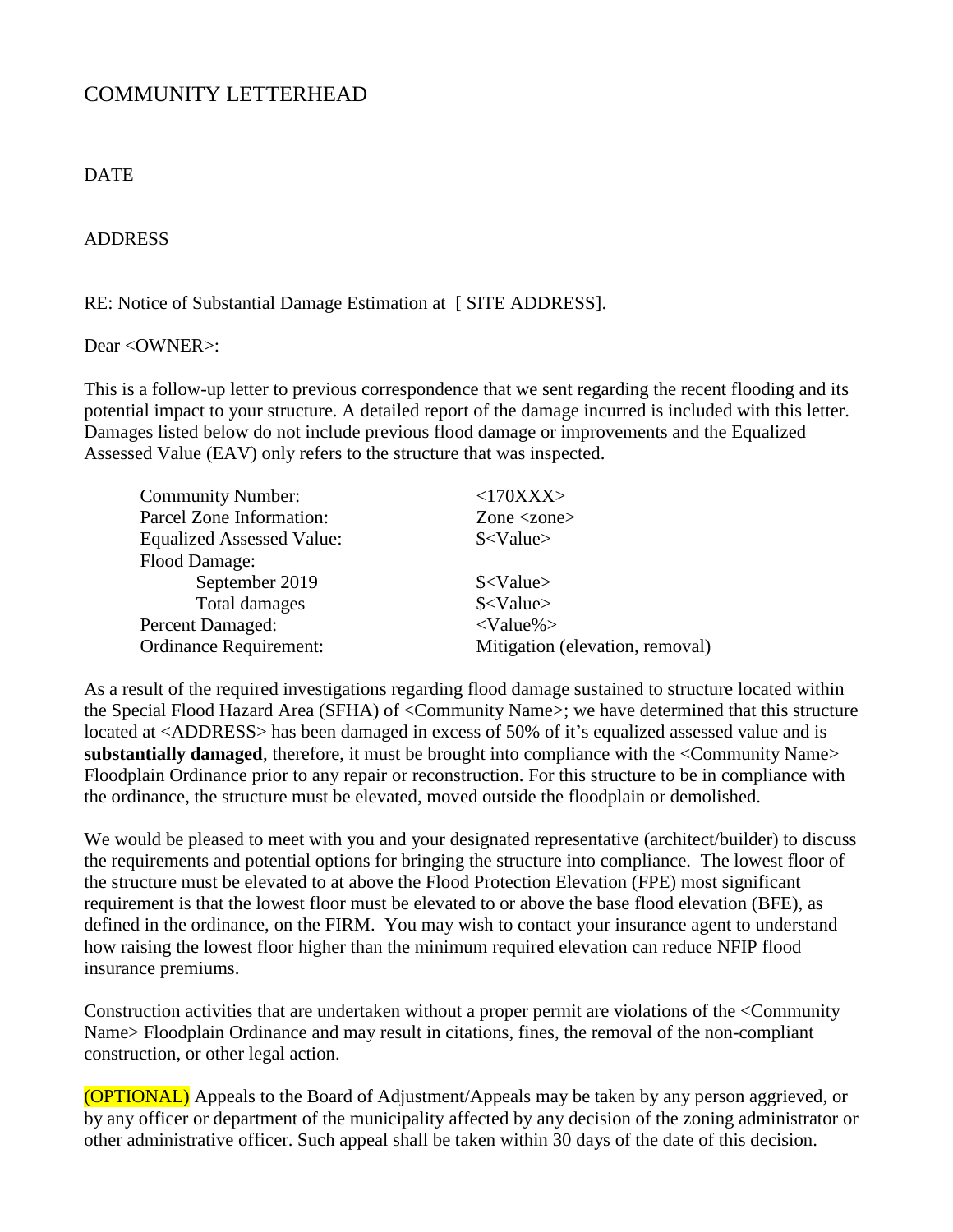#### **DATE**

#### ADDRESS

RE: Notice of Substantial Damage Estimation at [ SITE ADDRESS].

#### Dear <OWNER>:

This is a follow-up letter to previous correspondence that we sent regarding the recent flooding and its potential impact to your structure. A detailed report of the damage incurred is included with this letter. Damages listed below do not include previous flood damage or improvements and the Equalized Assessed Value (EAV) only refers to the structure that was inspected.

| <b>Community Number:</b>         | <170XXX>                        |
|----------------------------------|---------------------------------|
| Parcel Zone Information:         | Zone $\langle$ zone $\rangle$   |
| <b>Equalized Assessed Value:</b> | $\frac{\text{S}}{\text{Value}}$ |
| Flood Damage:                    |                                 |
| September 2019                   | $\frac{\text{S}}{\text{Value}}$ |
| Total damages                    | $\frac{\text{S}}{\text{Value}}$ |
| <b>Percent Damaged:</b>          | $<$ Value% $>$                  |
| <b>Ordinance Requirement:</b>    | Mitigation (elevation, removal) |

As a result of the required investigations regarding flood damage sustained to structure located within the Special Flood Hazard Area (SFHA) of <Community Name>; we have determined that this structure located at <ADDRESS> has been damaged in excess of 50% of it's equalized assessed value and is substantially damaged, therefore, it must be brought into compliance with the <Community Name> Floodplain Ordinance prior to any repair or reconstruction. For this structure to be in compliance with the ordinance, the structure must be elevated, moved outside the floodplain or demolished.

We would be pleased to meet with you and your designated representative (architect/builder) to discuss the requirements and potential options for bringing the structure into compliance. The lowest floor of the structure must be elevated to at above the Flood Protection Elevation (FPE) most significant requirement is that the lowest floor must be elevated to or above the base flood elevation (BFE), as defined in the ordinance, on the FIRM. You may wish to contact your insurance agent to understand how raising the lowest floor higher than the minimum required elevation can reduce NFIP flood insurance premiums.

Construction activities that are undertaken without a proper permit are violations of the <Community Name> Floodplain Ordinance and may result in citations, fines, the removal of the non-compliant construction, or other legal action.

(OPTIONAL) Appeals to the Board of Adjustment/Appeals may be taken by any person aggrieved, or by any officer or department of the municipality affected by any decision of the zoning administrator or other administrative officer. Such appeal shall be taken within 30 days of the date of this decision.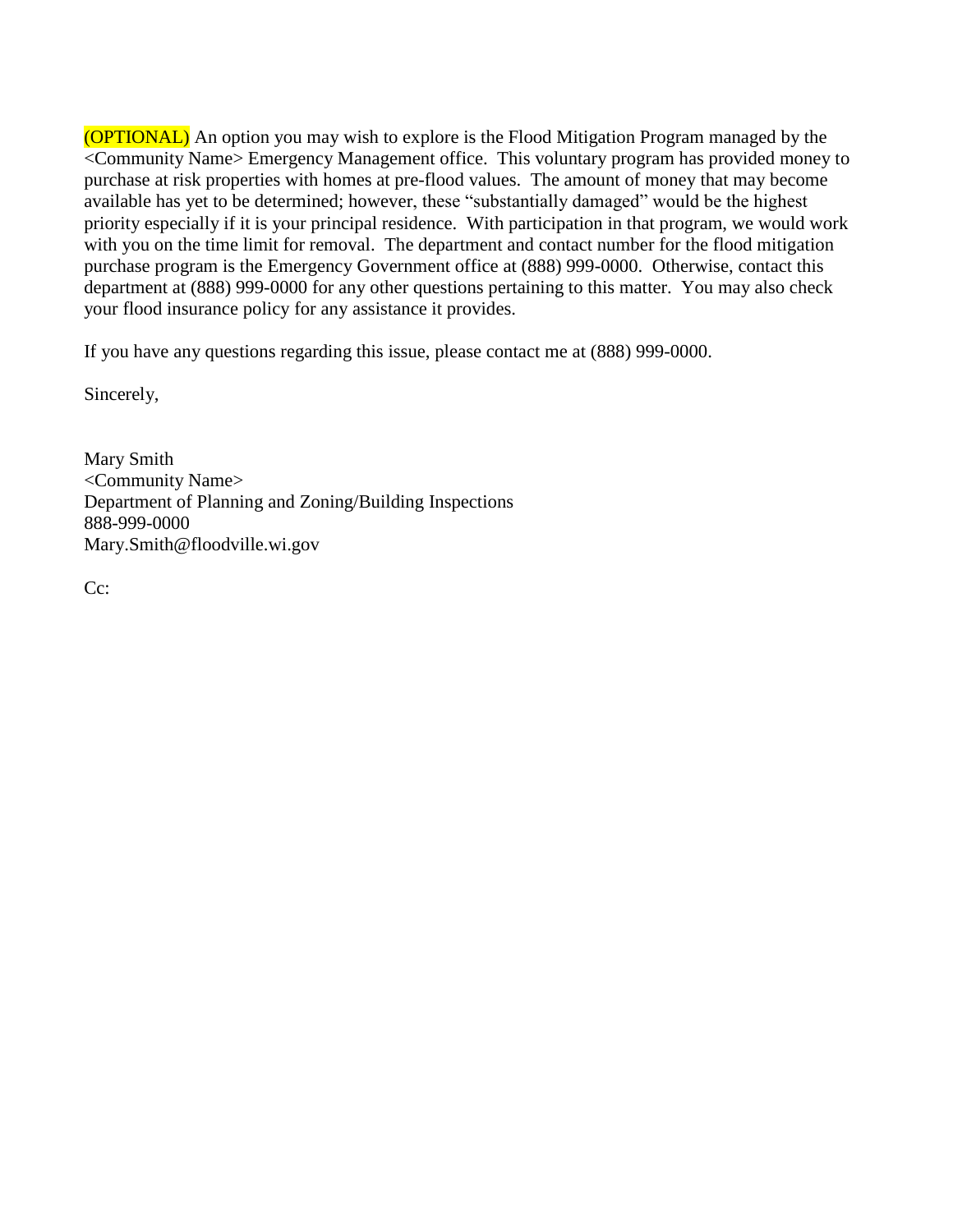(OPTIONAL) An option you may wish to explore is the Flood Mitigation Program managed by the <Community Name> Emergency Management office. This voluntary program has provided money to purchase at risk properties with homes at pre-flood values. The amount of money that may become available has yet to be determined; however, these "substantially damaged" would be the highest priority especially if it is your principal residence. With participation in that program, we would work with you on the time limit for removal. The department and contact number for the flood mitigation purchase program is the Emergency Government office at (888) 999-0000. Otherwise, contact this department at (888) 999-0000 for any other questions pertaining to this matter. You may also check your flood insurance policy for any assistance it provides.

If you have any questions regarding this issue, please contact me at (888) 999-0000.

Sincerely,

Mary Smith <Community Name> Department of Planning and Zoning/Building Inspections 888-999-0000 Mary.Smith@floodville.wi.gov

C<sub>c</sub>: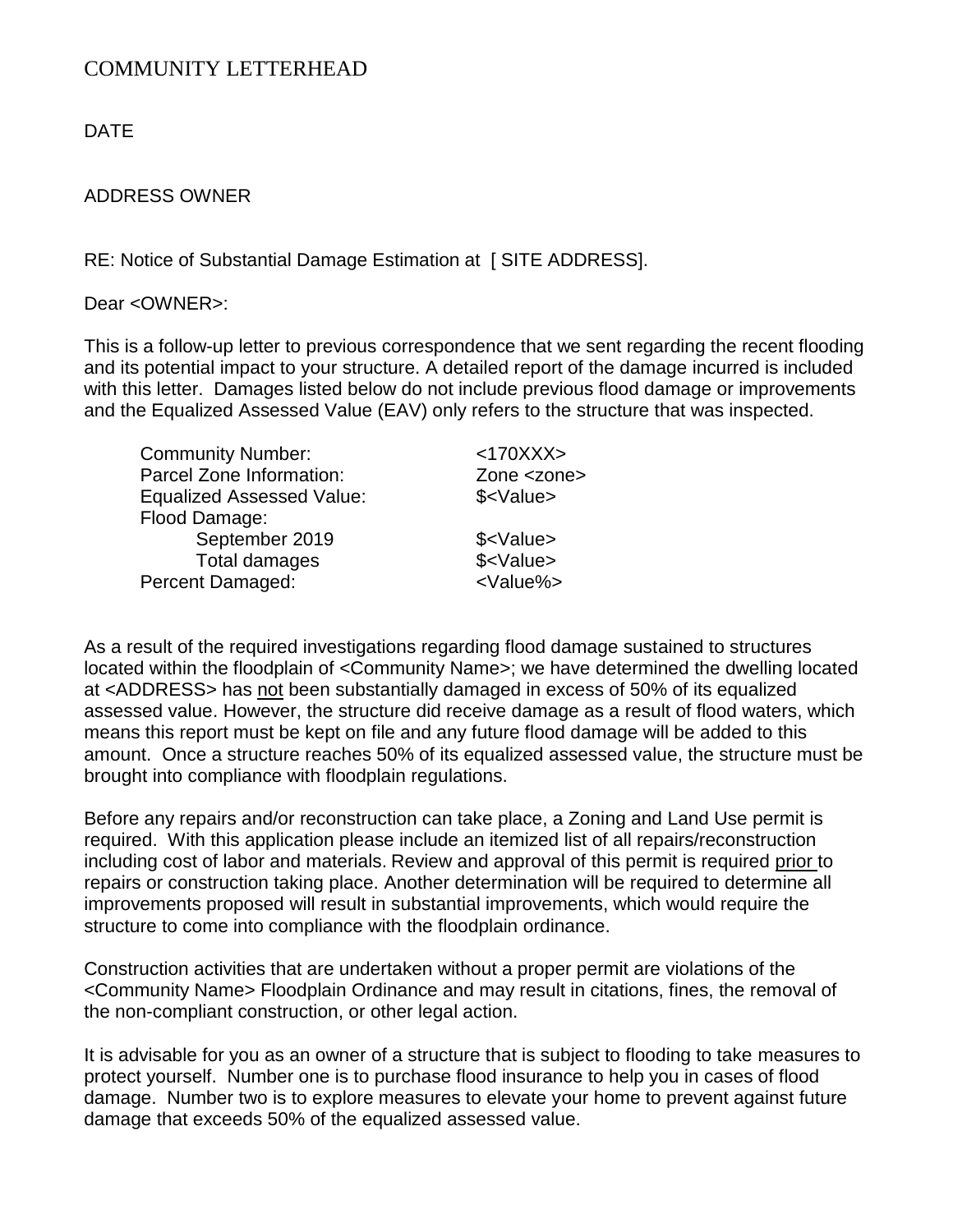DATE

#### ADDRESS OWNER

RE: Notice of Substantial Damage Estimation at [SITE ADDRESS].

Dear <OWNER>:

This is a follow-up letter to previous correspondence that we sent regarding the recent flooding and its potential impact to your structure. A detailed report of the damage incurred is included with this letter. Damages listed below do not include previous flood damage or improvements and the Equalized Assessed Value (EAV) only refers to the structure that was inspected.

| <b>Community Number:</b>         | <170XXX>           |
|----------------------------------|--------------------|
| Parcel Zone Information:         | Zone <zone></zone> |
| <b>Equalized Assessed Value:</b> | \$ <value></value> |
| Flood Damage:                    |                    |
| September 2019                   | \$ <value></value> |
| <b>Total damages</b>             | \$ <value></value> |
| Percent Damaged:                 | <value%></value%>  |
|                                  |                    |

As a result of the required investigations regarding flood damage sustained to structures located within the floodplain of <Community Name>; we have determined the dwelling located at <ADDRESS> has not been substantially damaged in excess of 50% of its equalized assessed value. However, the structure did receive damage as a result of flood waters, which means this report must be kept on file and any future flood damage will be added to this amount. Once a structure reaches 50% of its equalized assessed value, the structure must be brought into compliance with floodplain regulations.

Before any repairs and/or reconstruction can take place, a Zoning and Land Use permit is required. With this application please include an itemized list of all repairs/reconstruction including cost of labor and materials. Review and approval of this permit is required prior to repairs or construction taking place. Another determination will be required to determine all improvements proposed will result in substantial improvements, which would require the structure to come into compliance with the floodplain ordinance.

Construction activities that are undertaken without a proper permit are violations of the <Community Name> Floodplain Ordinance and may result in citations, fines, the removal of the non-compliant construction, or other legal action.

It is advisable for you as an owner of a structure that is subject to flooding to take measures to protect yourself. Number one is to purchase flood insurance to help you in cases of flood damage. Number two is to explore measures to elevate your home to prevent against future damage that exceeds 50% of the equalized assessed value.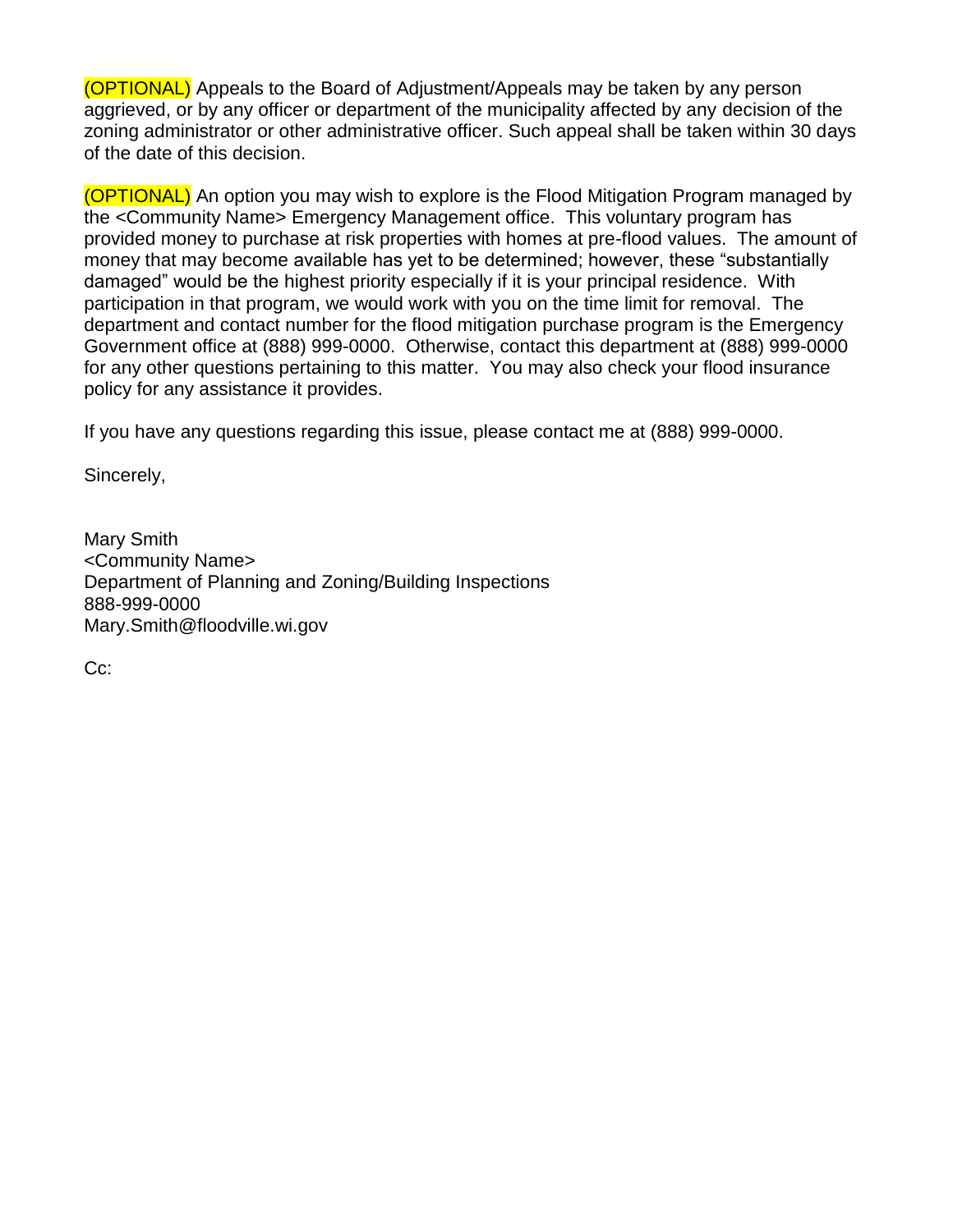(OPTIONAL) Appeals to the Board of Adjustment/Appeals may be taken by any person aggrieved, or by any officer or department of the municipality affected by any decision of the zoning administrator or other administrative officer. Such appeal shall be taken within 30 days of the date of this decision.

(OPTIONAL) An option you may wish to explore is the Flood Mitigation Program managed by the <Community Name> Emergency Management office. This voluntary program has provided money to purchase at risk properties with homes at pre-flood values. The amount of money that may become available has yet to be determined; however, these "substantially damaged" would be the highest priority especially if it is your principal residence. With participation in that program, we would work with you on the time limit for removal. The department and contact number for the flood mitigation purchase program is the Emergency Government office at (888) 999-0000. Otherwise, contact this department at (888) 999-0000 for any other questions pertaining to this matter. You may also check your flood insurance policy for any assistance it provides.

If you have any questions regarding this issue, please contact me at (888) 999-0000.

Sincerely,

Mary Smith <Community Name> Department of Planning and Zoning/Building Inspections 888-999-0000 Mary.Smith@floodville.wi.gov

Cc: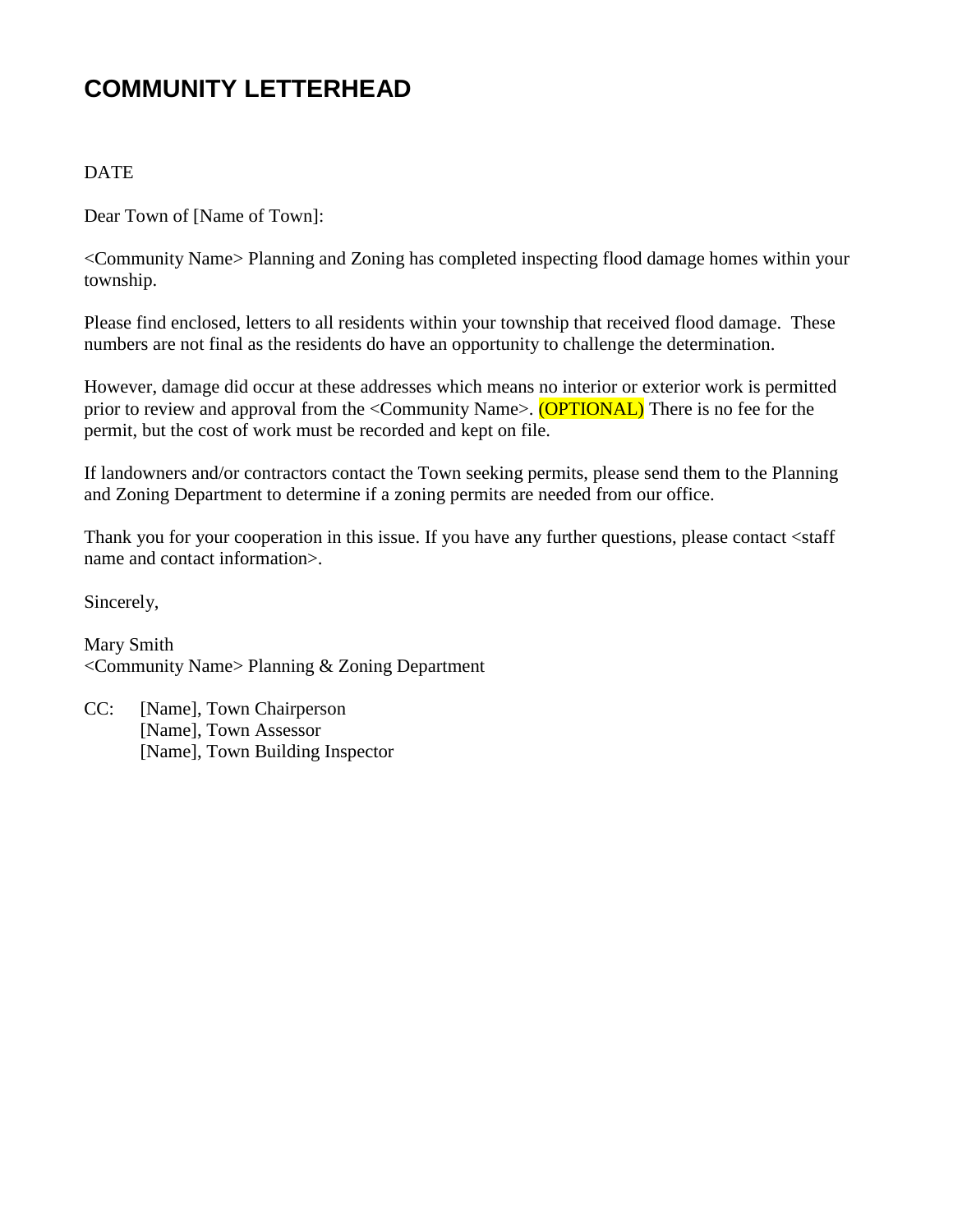#### **DATE**

Dear Town of [Name of Town]:

<Community Name> Planning and Zoning has completed inspecting flood damage homes within your township.

Please find enclosed, letters to all residents within your township that received flood damage. These numbers are not final as the residents do have an opportunity to challenge the determination.

However, damage did occur at these addresses which means no interior or exterior work is permitted prior to review and approval from the <Community Name>. (OPTIONAL) There is no fee for the permit, but the cost of work must be recorded and kept on file.

If landowners and/or contractors contact the Town seeking permits, please send them to the Planning and Zoning Department to determine if a zoning permits are needed from our office.

Thank you for your cooperation in this issue. If you have any further questions, please contact <staff name and contact information>.

Sincerely,

Mary Smith <Community Name> Planning & Zoning Department

CC: [Name], Town Chairperson [Name], Town Assessor [Name], Town Building Inspector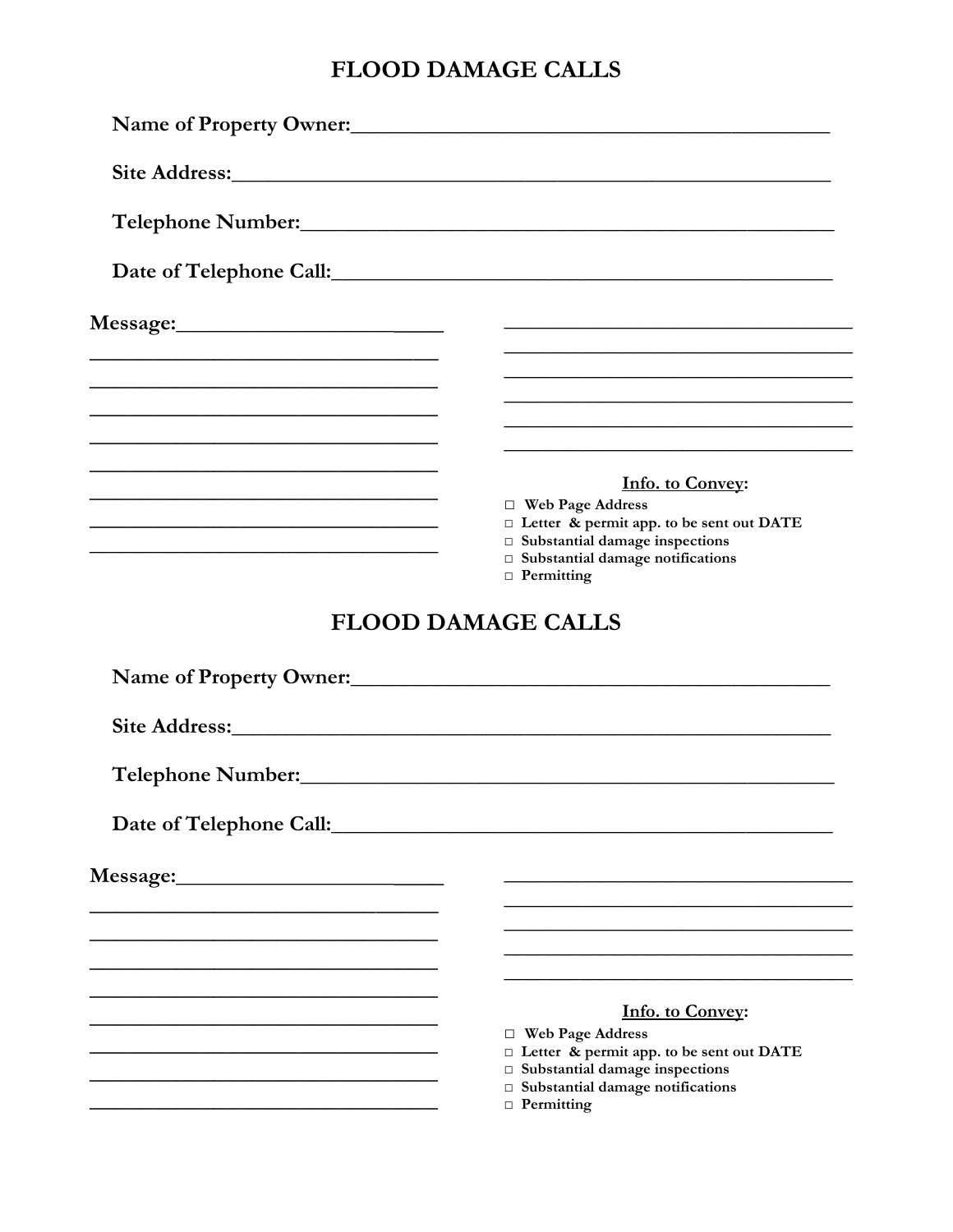## FLOOD DAMAGE CALLS

| Name of Property Owner:                                                                                              |                                                                                                                                                                                                                                      |
|----------------------------------------------------------------------------------------------------------------------|--------------------------------------------------------------------------------------------------------------------------------------------------------------------------------------------------------------------------------------|
|                                                                                                                      |                                                                                                                                                                                                                                      |
|                                                                                                                      | Telephone Number: <u>and the same and the set of the set of the set of the set of the set of the set of the set of the set of the set of the set of the set of the set of the set of the set of the set of the set of the set of</u> |
|                                                                                                                      |                                                                                                                                                                                                                                      |
|                                                                                                                      |                                                                                                                                                                                                                                      |
| <u> 1989 - Johann Stein, marwolaethau a bhann an t-Amhain an t-Amhain an t-Amhain an t-Amhain an t-Amhain an t-A</u> |                                                                                                                                                                                                                                      |
| and the control of the control of the control of the control of the control of the control of the control of the     |                                                                                                                                                                                                                                      |
|                                                                                                                      | Info. to Convey:<br>$\Box$ Web Page Address<br>□ Letter & permit app. to be sent out DATE<br>$\Box$ Substantial damage inspections<br>$\Box$ Substantial damage notifications<br>$\Box$ Permitting                                   |
|                                                                                                                      | <b>FLOOD DAMAGE CALLS</b>                                                                                                                                                                                                            |
|                                                                                                                      | Name of Property Owner:                                                                                                                                                                                                              |
|                                                                                                                      |                                                                                                                                                                                                                                      |
| Telephone Number:<br>Telephone Number:                                                                               |                                                                                                                                                                                                                                      |
| Date of Telephone Call:                                                                                              |                                                                                                                                                                                                                                      |
|                                                                                                                      |                                                                                                                                                                                                                                      |
|                                                                                                                      |                                                                                                                                                                                                                                      |
|                                                                                                                      | <b>Info. to Convey:</b>                                                                                                                                                                                                              |
|                                                                                                                      | $\Box$ Web Page Address<br>□ Letter & permit app. to be sent out DATE<br>$\Box$ Substantial damage inspections<br>$\square$ Substantial damage notifications<br>$\Box$ Permitting                                                    |